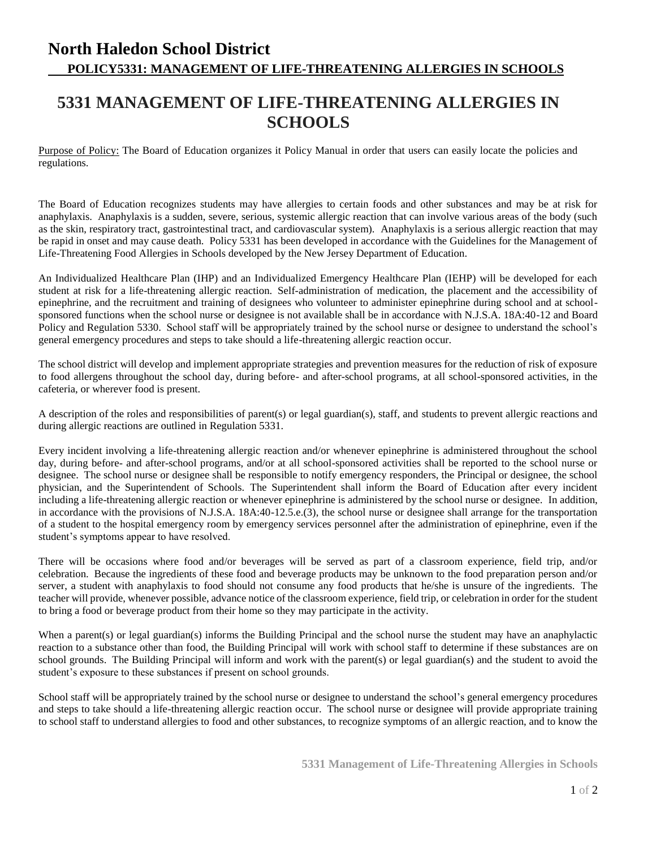## **North Haledon School District POLICY5331: MANAGEMENT OF LIFE-THREATENING ALLERGIES IN SCHOOLS**

## **5331 MANAGEMENT OF LIFE-THREATENING ALLERGIES IN SCHOOLS**

Purpose of Policy: The Board of Education organizes it Policy Manual in order that users can easily locate the policies and regulations.

The Board of Education recognizes students may have allergies to certain foods and other substances and may be at risk for anaphylaxis. Anaphylaxis is a sudden, severe, serious, systemic allergic reaction that can involve various areas of the body (such as the skin, respiratory tract, gastrointestinal tract, and cardiovascular system). Anaphylaxis is a serious allergic reaction that may be rapid in onset and may cause death. Policy 5331 has been developed in accordance with the Guidelines for the Management of Life-Threatening Food Allergies in Schools developed by the New Jersey Department of Education.

An Individualized Healthcare Plan (IHP) and an Individualized Emergency Healthcare Plan (IEHP) will be developed for each student at risk for a life-threatening allergic reaction. Self-administration of medication, the placement and the accessibility of epinephrine, and the recruitment and training of designees who volunteer to administer epinephrine during school and at schoolsponsored functions when the school nurse or designee is not available shall be in accordance with N.J.S.A. 18A:40-12 and Board Policy and Regulation 5330. School staff will be appropriately trained by the school nurse or designee to understand the school's general emergency procedures and steps to take should a life-threatening allergic reaction occur.

The school district will develop and implement appropriate strategies and prevention measures for the reduction of risk of exposure to food allergens throughout the school day, during before- and after-school programs, at all school-sponsored activities, in the cafeteria, or wherever food is present.

A description of the roles and responsibilities of parent(s) or legal guardian(s), staff, and students to prevent allergic reactions and during allergic reactions are outlined in Regulation 5331.

Every incident involving a life-threatening allergic reaction and/or whenever epinephrine is administered throughout the school day, during before- and after-school programs, and/or at all school-sponsored activities shall be reported to the school nurse or designee. The school nurse or designee shall be responsible to notify emergency responders, the Principal or designee, the school physician, and the Superintendent of Schools. The Superintendent shall inform the Board of Education after every incident including a life-threatening allergic reaction or whenever epinephrine is administered by the school nurse or designee. In addition, in accordance with the provisions of N.J.S.A. 18A:40-12.5.e.(3), the school nurse or designee shall arrange for the transportation of a student to the hospital emergency room by emergency services personnel after the administration of epinephrine, even if the student's symptoms appear to have resolved.

There will be occasions where food and/or beverages will be served as part of a classroom experience, field trip, and/or celebration. Because the ingredients of these food and beverage products may be unknown to the food preparation person and/or server, a student with anaphylaxis to food should not consume any food products that he/she is unsure of the ingredients. The teacher will provide, whenever possible, advance notice of the classroom experience, field trip, or celebration in order for the student to bring a food or beverage product from their home so they may participate in the activity.

When a parent(s) or legal guardian(s) informs the Building Principal and the school nurse the student may have an anaphylactic reaction to a substance other than food, the Building Principal will work with school staff to determine if these substances are on school grounds. The Building Principal will inform and work with the parent(s) or legal guardian(s) and the student to avoid the student's exposure to these substances if present on school grounds.

School staff will be appropriately trained by the school nurse or designee to understand the school's general emergency procedures and steps to take should a life-threatening allergic reaction occur. The school nurse or designee will provide appropriate training to school staff to understand allergies to food and other substances, to recognize symptoms of an allergic reaction, and to know the